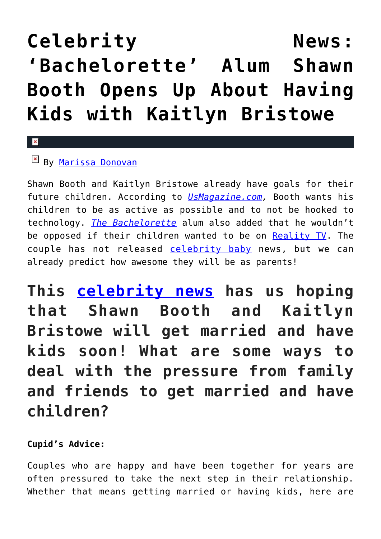# Celebrity **News: ['Bachelorette' Alum Shawn](https://cupidspulse.com/120331/celebrity-news-bachelorette-shawn-booth-kids-kaitlyn-bristowe/) [Booth Opens Up About Having](https://cupidspulse.com/120331/celebrity-news-bachelorette-shawn-booth-kids-kaitlyn-bristowe/) [Kids with Kaitlyn Bristowe](https://cupidspulse.com/120331/celebrity-news-bachelorette-shawn-booth-kids-kaitlyn-bristowe/)**

#### $\mathbf{x}$

# By [Marissa Donovan](http://cupidspulse.com/118743/marissa-donovan/)

Shawn Booth and Kaitlyn Bristowe already have goals for their future children. According to *[UsMagazine.com,](http://www.usmagazine.com/celebrity-news/news/shawn-booth-on-having-kids-with-kaitlyn-bristowe-we-want-them-to-be-active-w498416)* Booth wants his children to be as active as possible and to not be hooked to technology. *[The Bachelorette](http://cupidspulse.com/celebrity-news/reality-tv/the-bachelorette/)* alum also added that he wouldn't be opposed if their children wanted to be on [Reality TV](http://cupidspulse.com/celebrity-news/reality-tv/). The couple has not released [celebrity baby](http://cupidspulse.com/celebrity-news/celebrity-babies/) news, but we can already predict how awesome they will be as parents!

**This [celebrity news](http://cupidspulse.com/celebrity-news/) has us hoping that Shawn Booth and Kaitlyn Bristowe will get married and have kids soon! What are some ways to deal with the pressure from family and friends to get married and have children?**

## **Cupid's Advice:**

Couples who are happy and have been together for years are often pressured to take the next step in their relationship. Whether that means getting married or having kids, here are